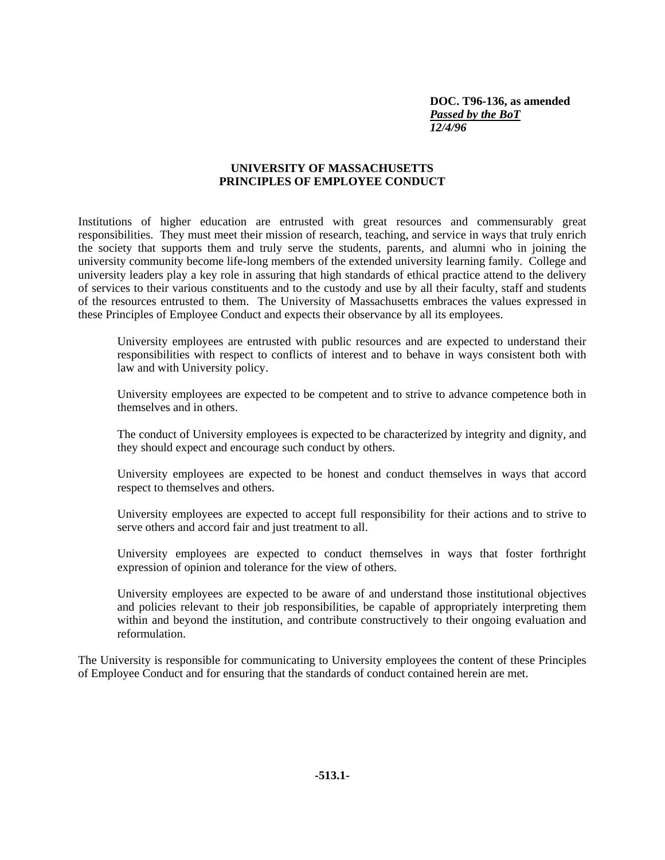**DOC. T96-136, as amended** *Passed by the BoT 12/4/96*

## **UNIVERSITY OF MASSACHUSETTS PRINCIPLES OF EMPLOYEE CONDUCT**

Institutions of higher education are entrusted with great resources and commensurably great responsibilities. They must meet their mission of research, teaching, and service in ways that truly enrich the society that supports them and truly serve the students, parents, and alumni who in joining the university community become life-long members of the extended university learning family. College and university leaders play a key role in assuring that high standards of ethical practice attend to the delivery of services to their various constituents and to the custody and use by all their faculty, staff and students of the resources entrusted to them. The University of Massachusetts embraces the values expressed in these Principles of Employee Conduct and expects their observance by all its employees.

University employees are entrusted with public resources and are expected to understand their responsibilities with respect to conflicts of interest and to behave in ways consistent both with law and with University policy.

University employees are expected to be competent and to strive to advance competence both in themselves and in others.

The conduct of University employees is expected to be characterized by integrity and dignity, and they should expect and encourage such conduct by others.

University employees are expected to be honest and conduct themselves in ways that accord respect to themselves and others.

University employees are expected to accept full responsibility for their actions and to strive to serve others and accord fair and just treatment to all.

University employees are expected to conduct themselves in ways that foster forthright expression of opinion and tolerance for the view of others.

University employees are expected to be aware of and understand those institutional objectives and policies relevant to their job responsibilities, be capable of appropriately interpreting them within and beyond the institution, and contribute constructively to their ongoing evaluation and reformulation.

The University is responsible for communicating to University employees the content of these Principles of Employee Conduct and for ensuring that the standards of conduct contained herein are met.